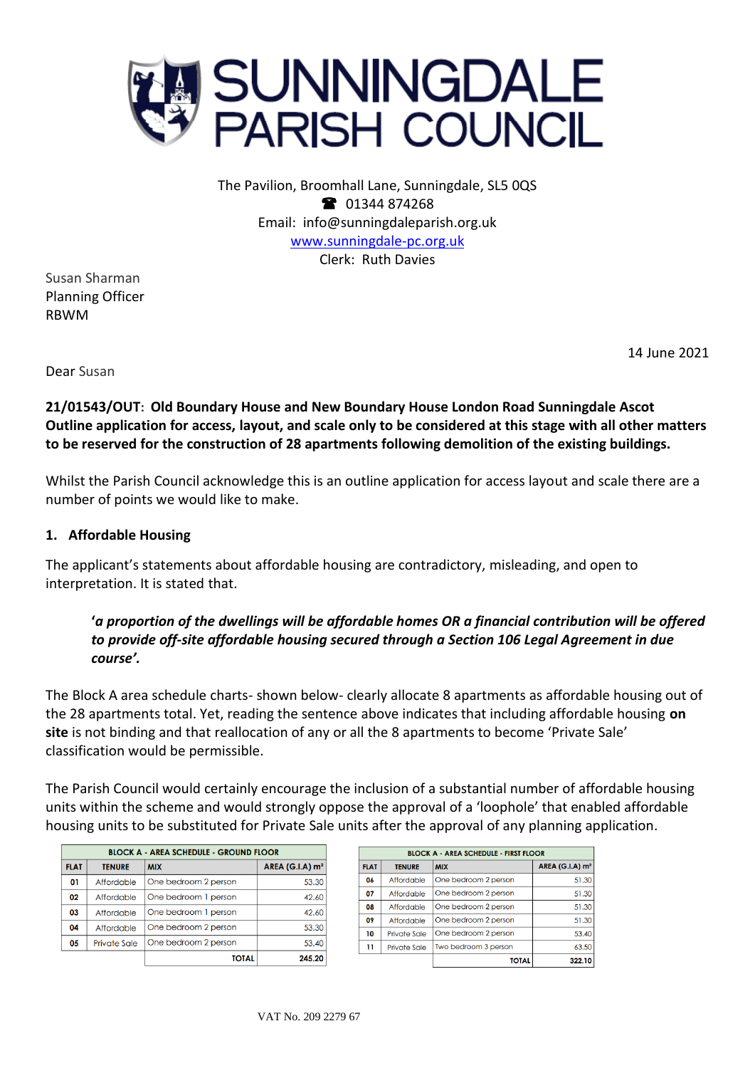

The Pavilion, Broomhall Lane, Sunningdale, SL5 0QS <sup>3</sup> 01344 874268 Email: info@sunningdaleparish.org.uk [www.sunningdale-pc.org.uk](http://www.sunningdale-pc.org.uk/) Clerk: Ruth Davies

Susan Sharman Planning Officer RBWM

14 June 2021

Dear Susan

**21/01543/OUT: Old Boundary House and New Boundary House London Road Sunningdale Ascot Outline application for access, layout, and scale only to be considered at this stage with all other matters to be reserved for the construction of 28 apartments following demolition of the existing buildings.**

Whilst the Parish Council acknowledge this is an outline application for access layout and scale there are a number of points we would like to make.

#### **1. Affordable Housing**

The applicant's statements about affordable housing are contradictory, misleading, and open to interpretation. It is stated that.

# **'***a proportion of the dwellings will be affordable homes OR a financial contribution will be offered to provide off-site affordable housing secured through a Section 106 Legal Agreement in due course'.*

The Block A area schedule charts- shown below- clearly allocate 8 apartments as affordable housing out of the 28 apartments total. Yet, reading the sentence above indicates that including affordable housing **on site** is not binding and that reallocation of any or all the 8 apartments to become 'Private Sale' classification would be permissible.

The Parish Council would certainly encourage the inclusion of a substantial number of affordable housing units within the scheme and would strongly oppose the approval of a 'loophole' that enabled affordable housing units to be substituted for Private Sale units after the approval of any planning application.

| <b>BLOCK A - AREA SCHEDULE - GROUND FLOOR</b> |                     |                      |                   |  |
|-----------------------------------------------|---------------------|----------------------|-------------------|--|
| <b>FLAT</b>                                   | <b>TENURE</b>       | <b>MIX</b>           | AREA (G.I.A) $m2$ |  |
| 01                                            | Affordable          | One bedroom 2 person | 53.30             |  |
| 02                                            | Affordable          | One bedroom 1 person | 42.60             |  |
| 03                                            | Affordable          | One bedroom 1 person | 42.60             |  |
| 04                                            | Affordable          | One bedroom 2 person | 53.30             |  |
| 05                                            | <b>Private Sale</b> | One bedroom 2 person | 53.40             |  |
|                                               |                     | <b>TOTAL</b>         | 245.20            |  |

| <b>BLOCK A - AREA SCHEDULE - FIRST FLOOR</b> |                     |                      |                                   |  |
|----------------------------------------------|---------------------|----------------------|-----------------------------------|--|
| <b>FLAT</b>                                  | <b>TENURE</b>       | <b>MIX</b>           | <b>AREA (G.I.A) m<sup>2</sup></b> |  |
| 06                                           | Affordable          | One bedroom 2 person | 51.30                             |  |
| 07                                           | Affordable          | One bedroom 2 person | 51.30                             |  |
| 08                                           | Affordable          | One bedroom 2 person | 51.30                             |  |
| 09                                           | Affordable          | One bedroom 2 person | 51.30                             |  |
| 10                                           | <b>Private Sale</b> | One bedroom 2 person | 53.40                             |  |
| 11                                           | <b>Private Sale</b> | Two bedroom 3 person | 63.50                             |  |
|                                              |                     | <b>TOTAL</b>         | 322.10                            |  |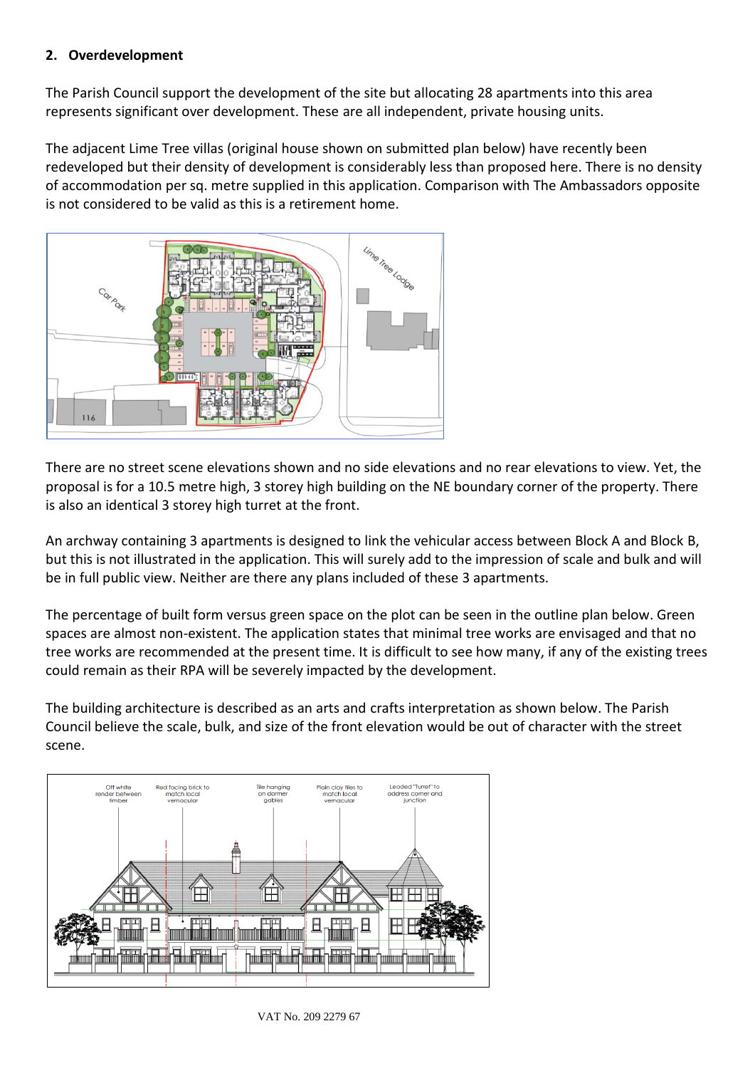## **2. Overdevelopment**

The Parish Council support the development of the site but allocating 28 apartments into this area represents significant over development. These are all independent, private housing units.

The adjacent Lime Tree villas (original house shown on submitted plan below) have recently been redeveloped but their density of development is considerably less than proposed here. There is no density of accommodation per sq. metre supplied in this application. Comparison with The Ambassadors opposite is not considered to be valid as this is a retirement home.



There are no street scene elevations shown and no side elevations and no rear elevations to view. Yet, the proposal is for a 10.5 metre high, 3 storey high building on the NE boundary corner of the property. There is also an identical 3 storey high turret at the front.

An archway containing 3 apartments is designed to link the vehicular access between Block A and Block B, but this is not illustrated in the application. This will surely add to the impression of scale and bulk and will be in full public view. Neither are there any plans included of these 3 apartments.

The percentage of built form versus green space on the plot can be seen in the outline plan below. Green spaces are almost non-existent. The application states that minimal tree works are envisaged and that no tree works are recommended at the present time. It is difficult to see how many, if any of the existing trees could remain as their RPA will be severely impacted by the development.

The building architecture is described as an arts and crafts interpretation as shown below. The Parish Council believe the scale, bulk, and size of the front elevation would be out of character with the street scene.

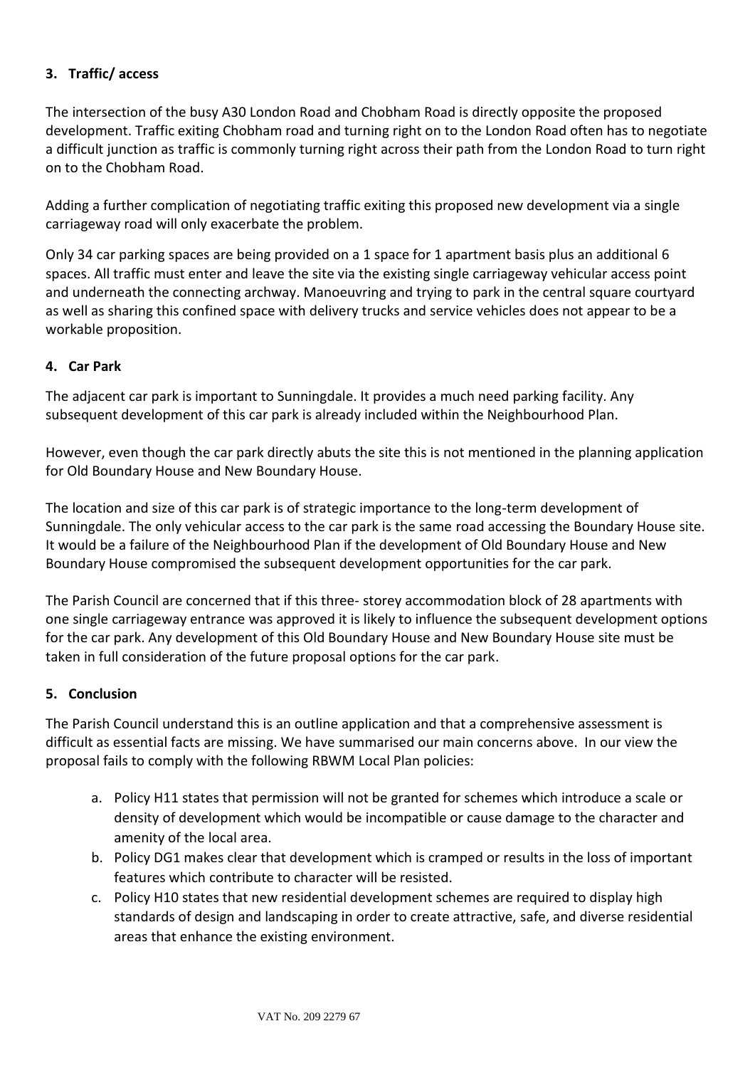# **3. Traffic/ access**

The intersection of the busy A30 London Road and Chobham Road is directly opposite the proposed development. Traffic exiting Chobham road and turning right on to the London Road often has to negotiate a difficult junction as traffic is commonly turning right across their path from the London Road to turn right on to the Chobham Road.

Adding a further complication of negotiating traffic exiting this proposed new development via a single carriageway road will only exacerbate the problem.

Only 34 car parking spaces are being provided on a 1 space for 1 apartment basis plus an additional 6 spaces. All traffic must enter and leave the site via the existing single carriageway vehicular access point and underneath the connecting archway. Manoeuvring and trying to park in the central square courtyard as well as sharing this confined space with delivery trucks and service vehicles does not appear to be a workable proposition.

## **4. Car Park**

The adjacent car park is important to Sunningdale. It provides a much need parking facility. Any subsequent development of this car park is already included within the Neighbourhood Plan.

However, even though the car park directly abuts the site this is not mentioned in the planning application for Old Boundary House and New Boundary House.

The location and size of this car park is of strategic importance to the long-term development of Sunningdale. The only vehicular access to the car park is the same road accessing the Boundary House site. It would be a failure of the Neighbourhood Plan if the development of Old Boundary House and New Boundary House compromised the subsequent development opportunities for the car park.

The Parish Council are concerned that if this three- storey accommodation block of 28 apartments with one single carriageway entrance was approved it is likely to influence the subsequent development options for the car park. Any development of this Old Boundary House and New Boundary House site must be taken in full consideration of the future proposal options for the car park.

#### **5. Conclusion**

The Parish Council understand this is an outline application and that a comprehensive assessment is difficult as essential facts are missing. We have summarised our main concerns above. In our view the proposal fails to comply with the following RBWM Local Plan policies:

- a. Policy H11 states that permission will not be granted for schemes which introduce a scale or density of development which would be incompatible or cause damage to the character and amenity of the local area.
- b. Policy DG1 makes clear that development which is cramped or results in the loss of important features which contribute to character will be resisted.
- c. Policy H10 states that new residential development schemes are required to display high standards of design and landscaping in order to create attractive, safe, and diverse residential areas that enhance the existing environment.